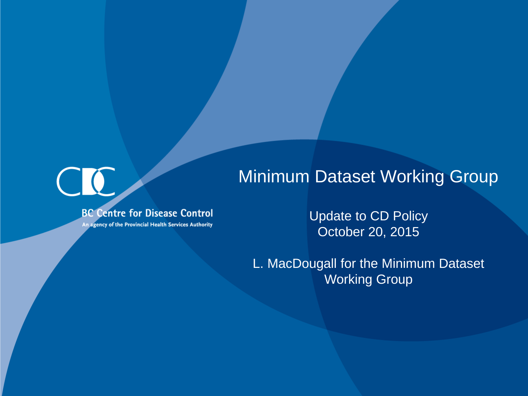#### Minimum Dataset Working Group

**BC Centre for Disease Control** 

An agency of the Provincial Health Services Authority

Update to CD Policy October 20, 2015

L. MacDougall for the Minimum Dataset Working Group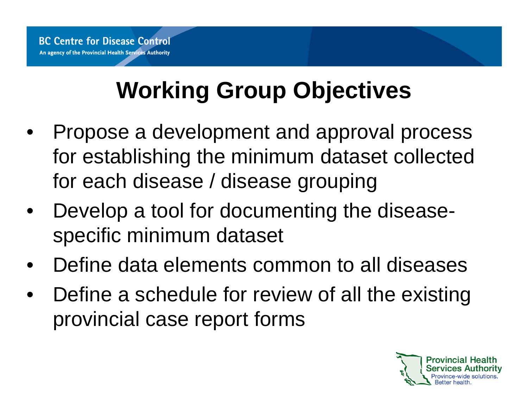# **Working Group Objectives**

- Propose a development and approval process for establishing the minimum dataset collected for each disease / disease grouping
- Develop a tool for documenting the diseasespecific minimum dataset
- Define data elements common to all diseases
- Define a schedule for review of all the existing provincial case report forms

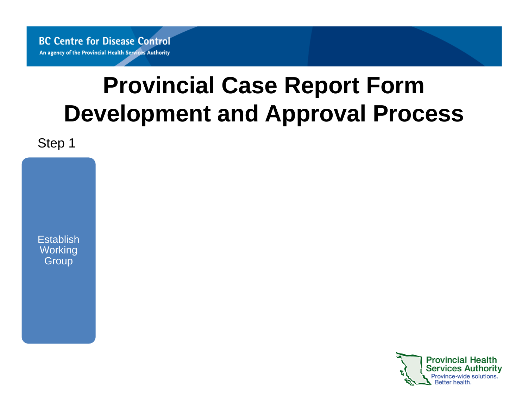**BC Centre for Disease Control** An agency of the Provincial Health Services Authority

## **Provincial Case Report Form Development and Approval Process**

Step 1

**Establish Working Group** 

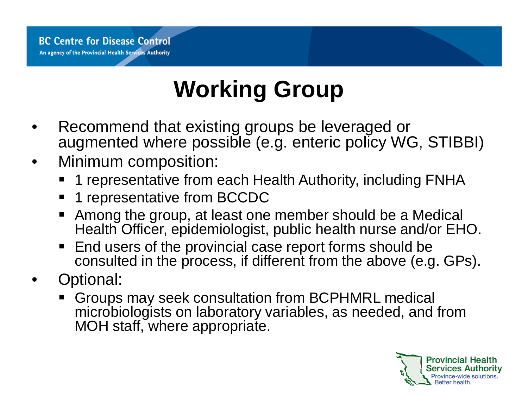## **Working Group**

- Recommend that existing groups be leveraged or augmented where possible (e.g. enteric policy WG, STIBBI)
- Minimum composition:
	- 1 representative from each Health Authority, including FNHA
	- 1 representative from BCCDC
	- Among the group, at least one member should be a Medical Health Officer, epidemiologist, public health nurse and/or EHO.
	- End users of the provincial case report forms should be consulted in the process, if different from the above (e.g. GPs).
- Optional:
	- Groups may seek consultation from BCPHMRL medical microbiologists on laboratory variables, as needed, and from MOH staff, where appropriate.

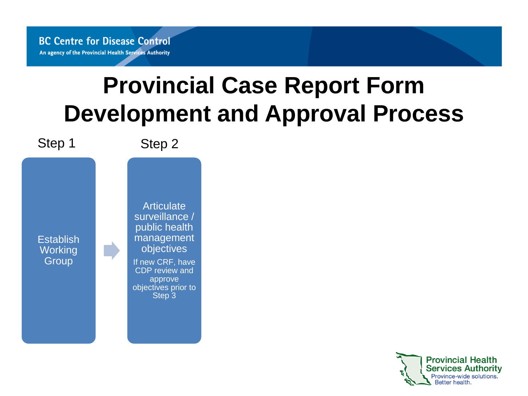## **Provincial Case Report Form Development and Approval Process**



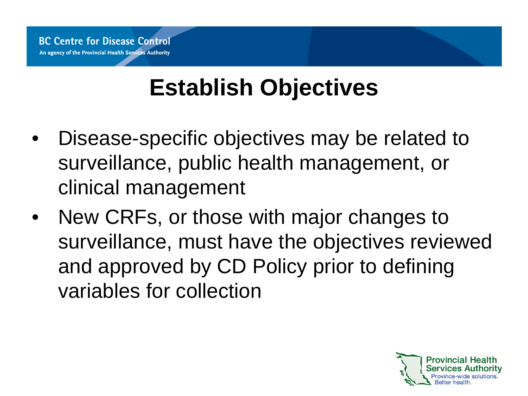## **Establish Objectives**

- Disease-specific objectives may be related to surveillance, public health management, or clinical management
- New CRFs, or those with major changes to surveillance, must have the objectives reviewed and approved by CD Policy prior to defining variables for collection

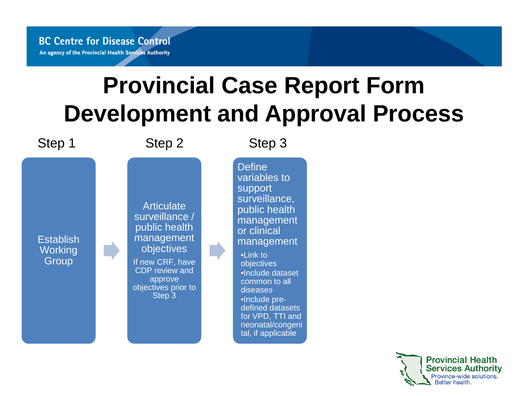## **Provincial Case Report Form Development and Approval Process**



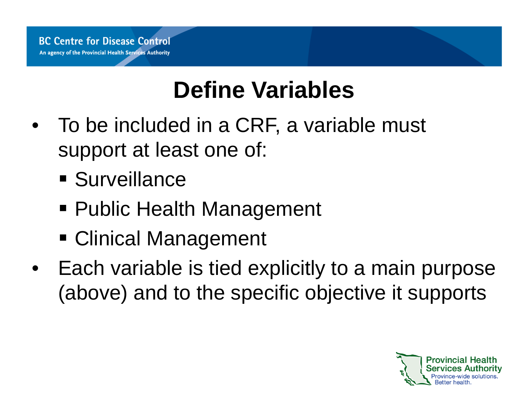## **Define Variables**

- To be included in a CRF, a variable must support at least one of:
	- **Surveillance**
	- Public Health Management
	- Clinical Management
- Each variable is tied explicitly to a main purpose (above) and to the specific objective it supports

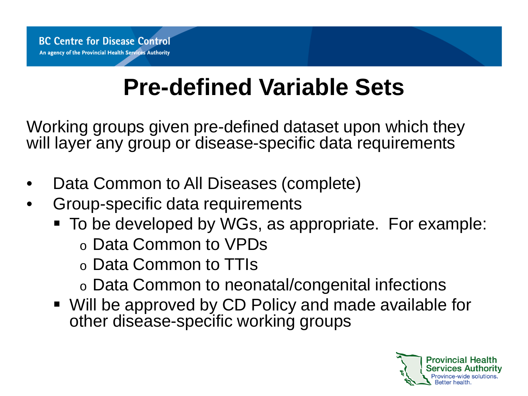## **Pre-defined Variable Sets**

Working groups given pre-defined dataset upon which they will layer any group or disease-specific data requirements

- Data Common to All Diseases (complete)
- Group-specific data requirements
	- To be developed by WGs, as appropriate. For example:
		- o Data Common to VPDs
		- o Data Common to TTIs
		- o Data Common to neonatal/congenital infections
	- Will be approved by CD Policy and made available for other disease-specific working groups

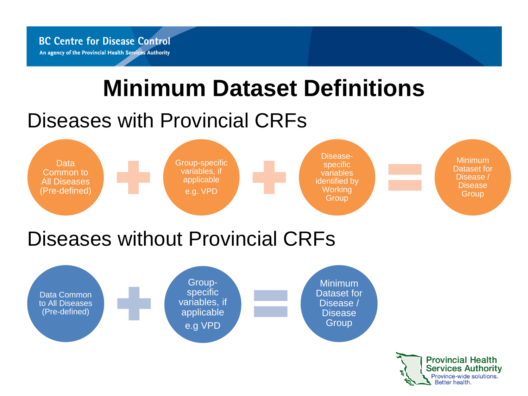**BC Centre for Disease Control** An agency of the Provincial Health Services Authority

## **Minimum Dataset Definitions**

#### Diseases with Provincial CRFs



#### Diseases without Provincial CRFs



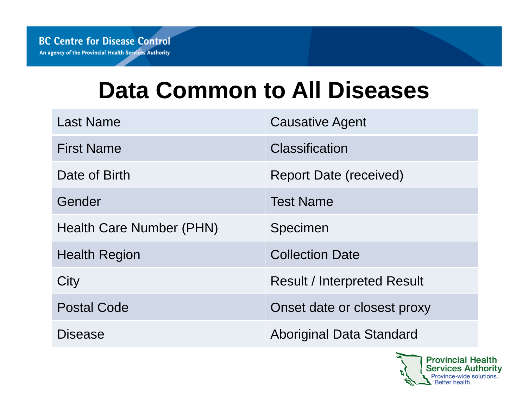## **Data Common to All Diseases**

| <b>Last Name</b>         | <b>Causative Agent</b>             |
|--------------------------|------------------------------------|
| <b>First Name</b>        | Classification                     |
| Date of Birth            | Report Date (received)             |
| Gender                   | <b>Test Name</b>                   |
| Health Care Number (PHN) | Specimen                           |
| <b>Health Region</b>     | <b>Collection Date</b>             |
| City                     | <b>Result / Interpreted Result</b> |
| <b>Postal Code</b>       | Onset date or closest proxy        |
| Disease                  | Aboriginal Data Standard           |

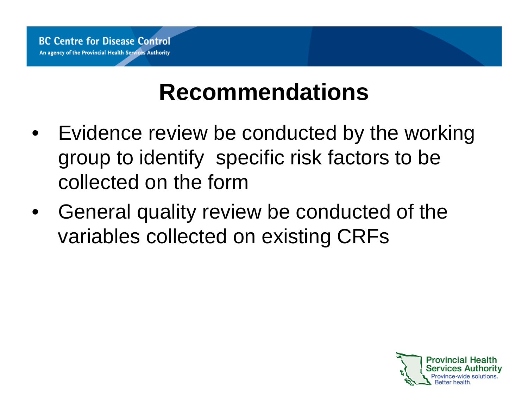## **Recommendations**

- Evidence review be conducted by the working group to identify specific risk factors to be collected on the form
- General quality review be conducted of the variables collected on existing CRFs

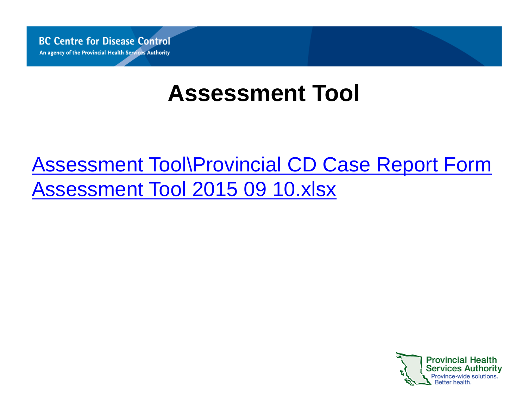**BC Centre for Disease Control** An agency of the Provincial Health Services Authority

## **Assessment Tool**

#### Assessment Tool\Provincial CD Case Report Form Assessment Tool 2015 09 10.xlsx

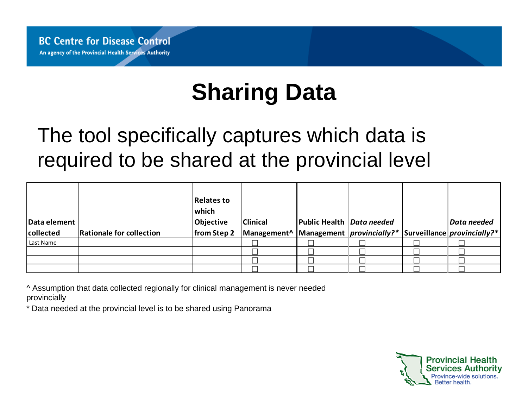## **Sharing Data**

#### The tool specifically captures which data is required to be shared at the provincial level

| Data element |                          | <b>Relates to</b><br>which<br>Objective | <b>Clinical</b>                                                           | Public Health Data needed |  | Data needed |
|--------------|--------------------------|-----------------------------------------|---------------------------------------------------------------------------|---------------------------|--|-------------|
| collected    | Rationale for collection | from Step 2                             | Management^   Management   provincially?*   Surveillance   provincially?* |                           |  |             |
| Last Name    |                          |                                         |                                                                           |                           |  |             |
|              |                          |                                         |                                                                           |                           |  |             |
|              |                          |                                         |                                                                           |                           |  |             |
|              |                          |                                         |                                                                           |                           |  |             |

^ Assumption that data collected regionally for clinical management is never needed provincially

\* Data needed at the provincial level is to be shared using Panorama

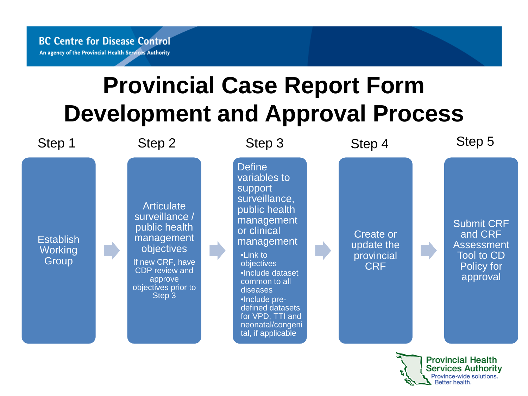## **Provincial Case Report Form Development and Approval Process**



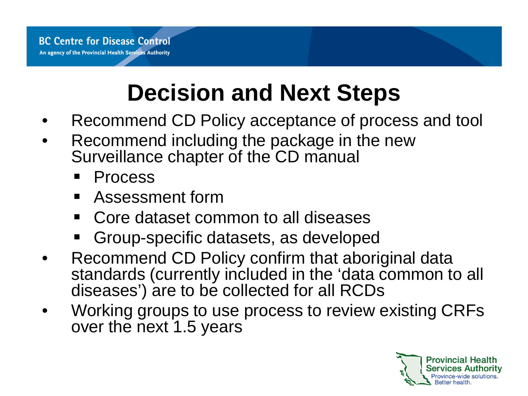## **Decision and Next Steps**

- Recommend CD Policy acceptance of process and tool
- Recommend including the package in the new Surveillance chapter of the CD manual
	- Process
	- Assessment form
	- Core dataset common to all diseases
	- Group-specific datasets, as developed
- Recommend CD Policy confirm that aboriginal data standards (currently included in the 'data common to all diseases') are to be collected for all RCDs
- Working groups to use process to review existing CRFs over the next 1.5 years

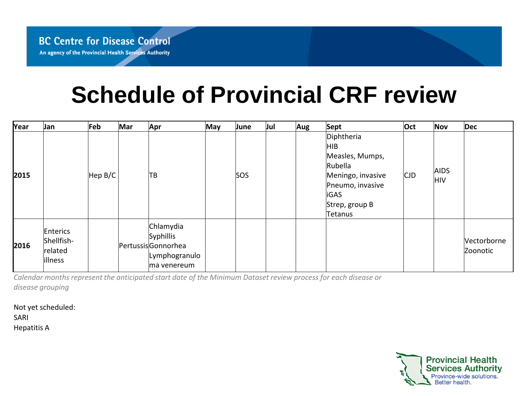## **Schedule of Provincial CRF review**

| Year | Jan                                          | Feb     | Mar | Apr                                                                          | <b>May</b> | June       | Jul | Aug | Sept                                                                                                                                   | Oct        | <b>Nov</b>                | Dec                     |
|------|----------------------------------------------|---------|-----|------------------------------------------------------------------------------|------------|------------|-----|-----|----------------------------------------------------------------------------------------------------------------------------------------|------------|---------------------------|-------------------------|
| 2015 |                                              | Hep B/C |     | ΠB                                                                           |            | <b>SOS</b> |     |     | Diphtheria<br>HIB.<br>Measles, Mumps,<br>Rubella<br>Meningo, invasive<br>Pneumo, invasive<br><b>liGAS</b><br>Strep, group B<br>Tetanus | <b>CJD</b> | <b>AIDS</b><br><b>HIV</b> |                         |
| 2016 | Enterics<br>Shellfish-<br>related<br>illness |         |     | Chlamydia<br>Syphillis<br>PertussisGonnorhea<br>Lymphogranulo<br>ma venereum |            |            |     |     |                                                                                                                                        |            |                           | Vectorborne<br>Zoonotic |

*Calendar months represent the anticipated start date of the Minimum Dataset review process for each disease or disease grouping*

Not yet scheduled: SARI Hepatitis A